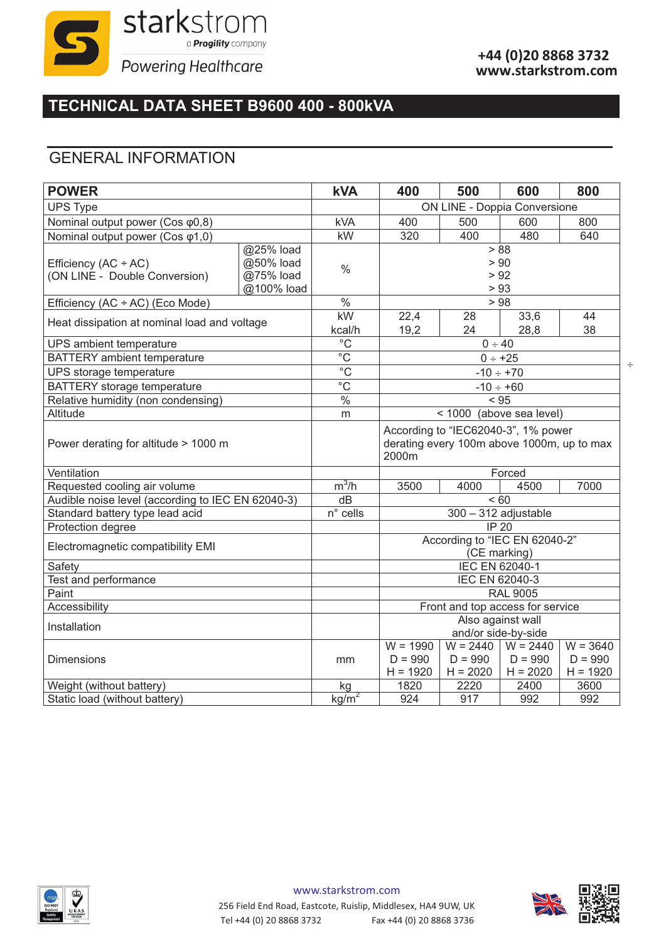

 $\div$ 

# **TECHNICAL DATA SHEET B9600 400 - 800kVA**

### GENERAL INFORMATION

| <b>POWER</b>                                      |            | <b>kVA</b>                   | 400                                        | 500                   | 600        | 800        |
|---------------------------------------------------|------------|------------------------------|--------------------------------------------|-----------------------|------------|------------|
| <b>UPS Type</b>                                   |            |                              | ON LINE - Doppia Conversione               |                       |            |            |
| Nominal output power (Cos φ0,8)                   |            | <b>kVA</b>                   | 400                                        | 500                   | 600        | 800        |
| Nominal output power (Cos φ1,0)                   |            | kW                           | 320                                        | 400                   | 480        | 640        |
|                                                   | @25% load  |                              |                                            |                       | > 88       |            |
| Efficiency $(AC + AC)$                            | @50% load  | $\frac{0}{0}$                | > 90                                       |                       |            |            |
| (ON LINE - Double Conversion)                     | @75% load  |                              |                                            |                       | > 92       |            |
|                                                   | @100% load |                              | > 93                                       |                       |            |            |
| Efficiency (AC ÷ AC) (Eco Mode)                   |            | $\%$                         | > 98                                       |                       |            |            |
| Heat dissipation at nominal load and voltage      |            | kW                           | 22,4                                       | 28                    | 33,6       | 44         |
|                                                   |            | kcal/h                       | 19,2                                       | 24                    | 28,8       | 38         |
| UPS ambient temperature                           |            | $\overline{C}$               | $0 \div 40$                                |                       |            |            |
| <b>BATTERY</b> ambient temperature                |            | $\overline{C}$               | $0 \div +25$                               |                       |            |            |
| UPS storage temperature                           |            | $\overline{C}$               | $-10 \div +70$                             |                       |            |            |
| <b>BATTERY</b> storage temperature                |            | $\overline{C}$               | $-10 \div +60$                             |                       |            |            |
| Relative humidity (non condensing)                |            | $\frac{0}{0}$                | < 95                                       |                       |            |            |
| Altitude                                          |            | m                            | < 1000<br>(above sea level)                |                       |            |            |
|                                                   |            |                              | According to "IEC62040-3", 1% power        |                       |            |            |
| Power derating for altitude > 1000 m              |            |                              | derating every 100m above 1000m, up to max |                       |            |            |
|                                                   |            |                              | 2000m                                      |                       |            |            |
| Ventilation                                       |            |                              | Forced                                     |                       |            |            |
| Requested cooling air volume                      |            | $m^3/h$                      | 3500                                       | 4000                  | 4500       | 7000       |
| Audible noise level (according to IEC EN 62040-3) |            | dB                           | < 60                                       |                       |            |            |
| Standard battery type lead acid                   |            | $\overline{n}^{\circ}$ cells | 300 - 312 adjustable                       |                       |            |            |
| Protection degree                                 |            |                              | <b>IP 20</b>                               |                       |            |            |
| Electromagnetic compatibility EMI                 |            |                              | According to "IEC EN 62040-2"              |                       |            |            |
|                                                   |            |                              | (CE marking)                               |                       |            |            |
| Safety                                            |            |                              | IEC EN 62040-1                             |                       |            |            |
| Test and performance                              |            |                              | IEC EN 62040-3<br><b>RAL 9005</b>          |                       |            |            |
| Paint<br>Accessibility                            |            |                              | Front and top access for service           |                       |            |            |
|                                                   |            |                              | Also against wall                          |                       |            |            |
| Installation                                      |            |                              | and/or side-by-side                        |                       |            |            |
|                                                   |            |                              | $W = 1990$                                 | $W = 2440$ $W = 2440$ |            | $W = 3640$ |
| <b>Dimensions</b>                                 |            | mm                           | $D = 990$                                  | $D = 990$             | $D = 990$  | $D = 990$  |
|                                                   |            |                              | $H = 1920$                                 | $H = 2020$            | $H = 2020$ | $H = 1920$ |
| Weight (without battery)                          |            | kg                           | 1820                                       | 2220                  | 2400       | 3600       |
| Static load (without battery)                     |            | kg/m <sup>2</sup>            | 924                                        | 917                   | 992        | 992        |

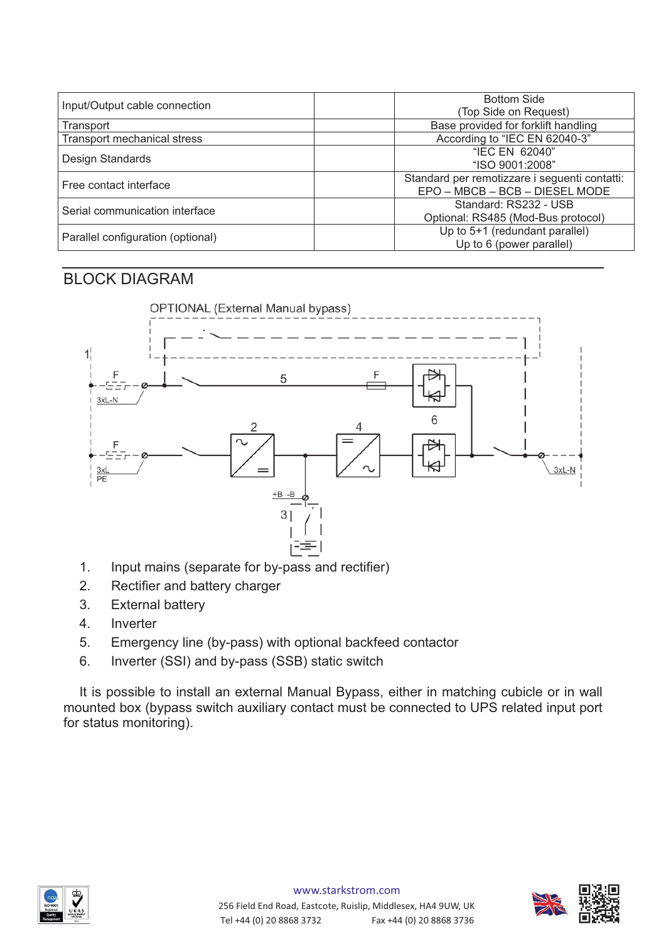| Input/Output cable connection      | <b>Bottom Side</b>                            |
|------------------------------------|-----------------------------------------------|
|                                    | (Top Side on Request)                         |
| Transport                          | Base provided for forklift handling           |
| <b>Transport mechanical stress</b> | According to "IEC EN 62040-3"                 |
| Design Standards                   | "IEC EN 62040"                                |
|                                    | "ISO 9001:2008"                               |
| Free contact interface             | Standard per remotizzare i seguenti contatti: |
|                                    | EPO - MBCB - BCB - DIESEL MODE                |
| Serial communication interface     | Standard: RS232 - USB                         |
|                                    | Optional: RS485 (Mod-Bus protocol)            |
| Parallel configuration (optional)  | Up to 5+1 (redundant parallel)                |
|                                    | Up to 6 (power parallel)                      |

#### BLOCK DIAGRAM



- 1. Input mains (separate for by-pass and rectifier)
- 2. Rectifier and battery charger
- 3. External battery
- 4. Inverter
- 5. Emergency line (by-pass) with optional backfeed contactor
- 6. Inverter (SSI) and by-pass (SSB) static switch

It is possible to install an external Manual Bypass, either in matching cubicle or in wall mounted box (bypass switch auxiliary contact must be connected to UPS related input port for status monitoring).

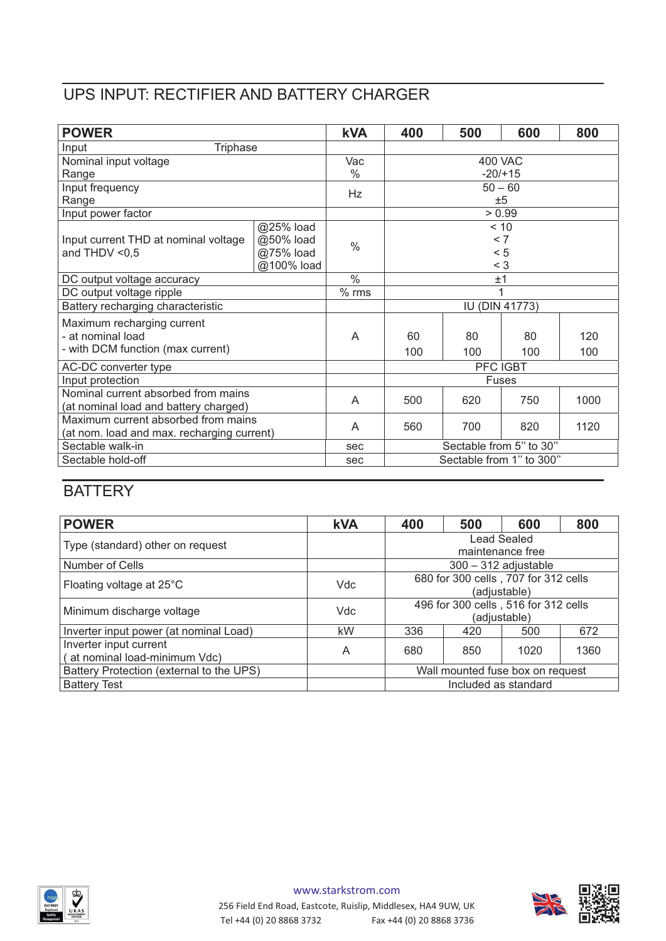## UPS INPUT: RECTIFIER AND BATTERY CHARGER

| <b>POWER</b>                               |            | <b>kVA</b>    | 400                      | 500 | 600 | 800  |
|--------------------------------------------|------------|---------------|--------------------------|-----|-----|------|
| Triphase<br>Input                          |            |               |                          |     |     |      |
| Nominal input voltage                      |            | Vac           | <b>400 VAC</b>           |     |     |      |
| Range                                      |            | $\%$          | $-20/115$                |     |     |      |
| Input frequency                            |            | Hz            | $50 - 60$                |     |     |      |
| Range                                      |            |               | ±5                       |     |     |      |
| Input power factor                         |            |               | > 0.99                   |     |     |      |
|                                            | @25% load  |               | < 10                     |     |     |      |
| Input current THD at nominal voltage       | @50% load  | $\frac{0}{0}$ | < 7                      |     |     |      |
| and THDV $< 0.5$                           | @75% load  |               | < 5                      |     |     |      |
|                                            | @100% load |               | $<$ 3                    |     |     |      |
| DC output voltage accuracy                 |            | $\frac{0}{0}$ | ±1                       |     |     |      |
| DC output voltage ripple                   |            | $%$ rms       |                          |     |     |      |
| Battery recharging characteristic          |            |               | <b>IU (DIN 41773)</b>    |     |     |      |
| Maximum recharging current                 |            |               |                          |     |     |      |
| - at nominal load                          |            | A             | 60                       | 80  | 80  | 120  |
| - with DCM function (max current)          |            |               | 100                      | 100 | 100 | 100  |
| AC-DC converter type                       |            |               | PFC IGBT                 |     |     |      |
| Input protection                           |            |               | <b>Fuses</b>             |     |     |      |
| Nominal current absorbed from mains        |            | A             | 500                      | 620 | 750 | 1000 |
| (at nominal load and battery charged)      |            |               |                          |     |     |      |
| Maximum current absorbed from mains        |            | A             | 560                      | 700 | 820 | 1120 |
| (at nom. load and max. recharging current) |            |               |                          |     |     |      |
| Sectable walk-in                           |            | sec           | Sectable from 5" to 30"  |     |     |      |
| Sectable hold-off                          |            | sec           | Sectable from 1" to 300" |     |     |      |

# **BATTERY**

| <b>POWER</b>                                            | <b>kVA</b> | 400                                                  | 500 | 600  | 800  |
|---------------------------------------------------------|------------|------------------------------------------------------|-----|------|------|
| Type (standard) other on request                        |            | Lead Sealed<br>maintenance free                      |     |      |      |
| Number of Cells                                         |            | $300 - 312$ adjustable                               |     |      |      |
| Floating voltage at 25°C                                | <b>Vdc</b> | 680 for 300 cells, 707 for 312 cells<br>(adjustable) |     |      |      |
| Minimum discharge voltage                               | Vdc        | 496 for 300 cells, 516 for 312 cells<br>(adjustable) |     |      |      |
| Inverter input power (at nominal Load)                  | kW         | 336                                                  | 420 | 500  | 672  |
| Inverter input current<br>(at nominal load-minimum Vdc) | A          | 680                                                  | 850 | 1020 | 1360 |
| Battery Protection (external to the UPS)                |            | Wall mounted fuse box on request                     |     |      |      |
| <b>Battery Test</b>                                     |            | Included as standard                                 |     |      |      |

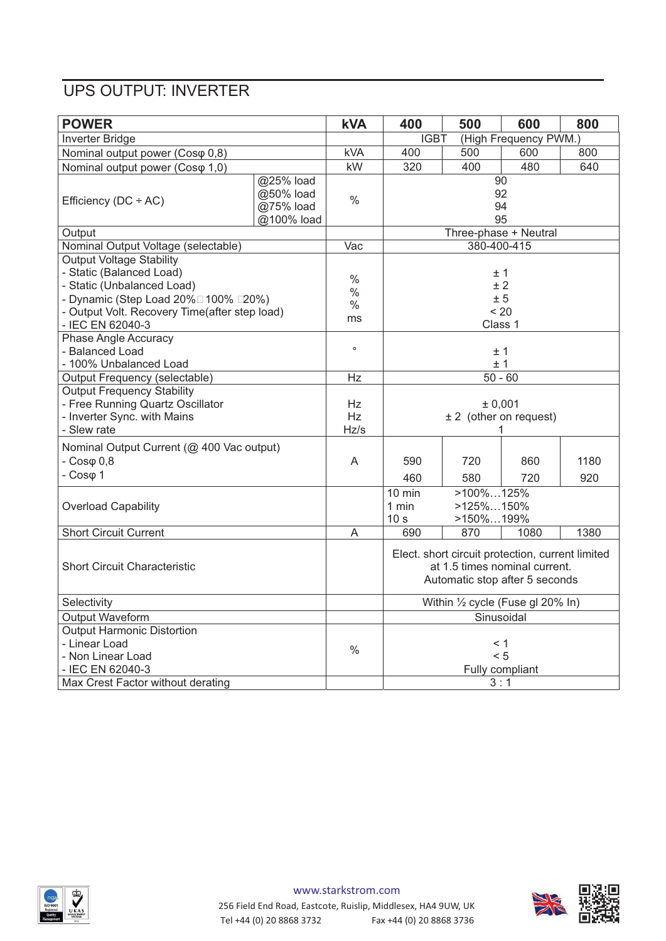### UPS OUTPUT: INVERTER

| <b>POWER</b>                                                                                                                                                                                                                                                                                                                |                                                   | <b>kVA</b>                                           | 400                                                                                                                 | 500                                         | 600        | 800         |
|-----------------------------------------------------------------------------------------------------------------------------------------------------------------------------------------------------------------------------------------------------------------------------------------------------------------------------|---------------------------------------------------|------------------------------------------------------|---------------------------------------------------------------------------------------------------------------------|---------------------------------------------|------------|-------------|
| Inverter Bridge                                                                                                                                                                                                                                                                                                             |                                                   |                                                      | (High Frequency PWM.)<br><b>IGBT</b>                                                                                |                                             |            |             |
| Nominal output power (Cosφ 0,8)                                                                                                                                                                                                                                                                                             |                                                   | <b>kVA</b>                                           | 400                                                                                                                 | 500                                         | 600        | 800         |
| Nominal output power (Coso 1,0)                                                                                                                                                                                                                                                                                             |                                                   | kW                                                   | 320                                                                                                                 | 400                                         | 480        | 640         |
| Efficiency ( $DC \div AC$ )                                                                                                                                                                                                                                                                                                 | @25% load<br>@50% load<br>@75% load<br>@100% load | $\%$                                                 | $\overline{90}$<br>92<br>94<br>95                                                                                   |                                             |            |             |
| Output                                                                                                                                                                                                                                                                                                                      |                                                   |                                                      | Three-phase + Neutral                                                                                               |                                             |            |             |
| Nominal Output Voltage (selectable)                                                                                                                                                                                                                                                                                         |                                                   | $\overline{Vac}$                                     | 380-400-415                                                                                                         |                                             |            |             |
| <b>Output Voltage Stability</b><br>- Static (Balanced Load)<br>- Static (Unbalanced Load)<br>- Dynamic (Step Load $20\%$ 100% $\Box$ 20%)<br>- Output Volt. Recovery Time(after step load)<br>- IEC EN 62040-3<br><b>Phase Angle Accuracy</b><br>- Balanced Load<br>- 100% Unbalanced Load<br>Output Frequency (selectable) |                                                   | $\%$<br>$\frac{0}{0}$<br>$\%$<br>ms<br>$\circ$<br>Hz | ±1<br>± 2<br>± 5<br>< 20<br>Class 1<br>±1<br>±1<br>$50 - 60$                                                        |                                             |            |             |
| <b>Output Frequency Stability</b><br>- Free Running Quartz Oscillator<br>- Inverter Sync. with Mains<br>- Slew rate                                                                                                                                                                                                         |                                                   | Hz<br>Hz<br>Hz/s                                     | ± 0,001<br>± 2 (other on request)                                                                                   |                                             |            |             |
| Nominal Output Current (@ 400 Vac output)<br>$-Cos\varphi$ 0,8<br>$-Cos\varphi$ 1                                                                                                                                                                                                                                           |                                                   | A                                                    | 590<br>460                                                                                                          | 720<br>580                                  | 860<br>720 | 1180<br>920 |
| <b>Overload Capability</b>                                                                                                                                                                                                                                                                                                  |                                                   |                                                      | $10$ min<br>1 min<br>10 <sub>s</sub>                                                                                | $>100\%125\%$<br>$>125\%150\%$<br>>150%199% |            |             |
| <b>Short Circuit Current</b>                                                                                                                                                                                                                                                                                                |                                                   | A                                                    | 690                                                                                                                 | 870                                         | 1080       | 1380        |
| <b>Short Circuit Characteristic</b>                                                                                                                                                                                                                                                                                         |                                                   |                                                      | Elect. short circuit protection, current limited<br>at 1.5 times nominal current.<br>Automatic stop after 5 seconds |                                             |            |             |
| Selectivity                                                                                                                                                                                                                                                                                                                 |                                                   |                                                      | Within 1/2 cycle (Fuse gl 20% In)                                                                                   |                                             |            |             |
| Output Waveform                                                                                                                                                                                                                                                                                                             |                                                   |                                                      | Sinusoidal                                                                                                          |                                             |            |             |
| Output Harmonic Distortion                                                                                                                                                                                                                                                                                                  |                                                   |                                                      |                                                                                                                     |                                             |            |             |
| - Linear Load<br>- Non Linear Load<br>- IEC EN 62040-3                                                                                                                                                                                                                                                                      |                                                   | $\frac{0}{0}$                                        | < 1<br>< 5<br>Fully compliant                                                                                       |                                             |            |             |
| Max Crest Factor without derating                                                                                                                                                                                                                                                                                           |                                                   |                                                      |                                                                                                                     | 3:1                                         |            |             |

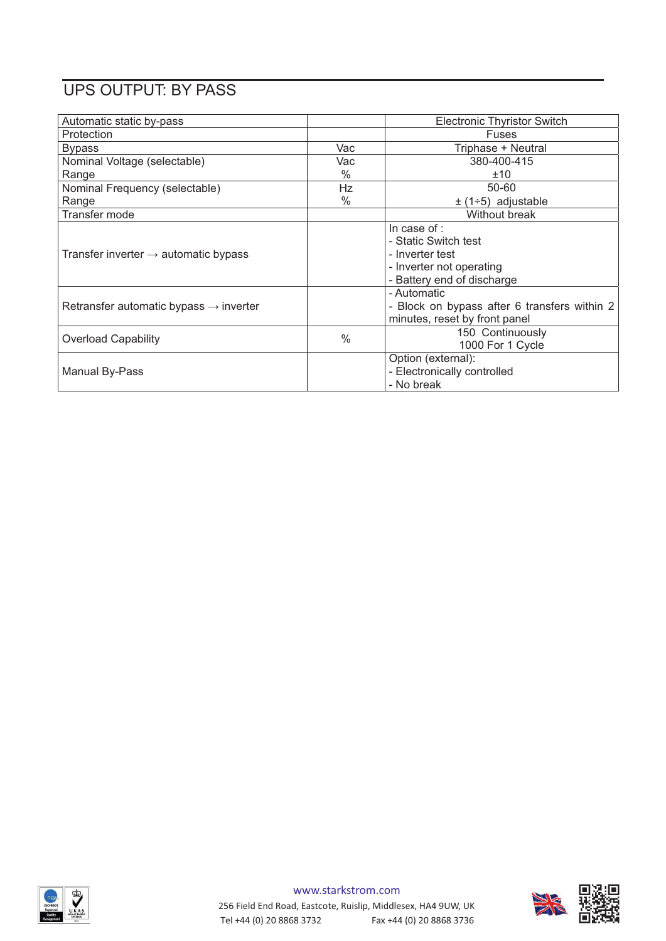# UPS OUTPUT: BY PASS

| Automatic static by-pass                           |               | <b>Electronic Thyristor Switch</b>                                                                                |
|----------------------------------------------------|---------------|-------------------------------------------------------------------------------------------------------------------|
| Protection                                         |               | <b>Fuses</b>                                                                                                      |
| <b>Bypass</b>                                      | Vac           | Triphase + Neutral                                                                                                |
| Nominal Voltage (selectable)                       | Vac           | 380-400-415                                                                                                       |
| Range                                              | $\frac{0}{0}$ | ±10                                                                                                               |
| Nominal Frequency (selectable)                     | Hz            | 50-60                                                                                                             |
| Range                                              | $\%$          | $\pm$ (1÷5) adjustable                                                                                            |
| Transfer mode                                      |               | Without break                                                                                                     |
| Transfer inverter $\rightarrow$ automatic bypass   |               | In case of :<br>- Static Switch test<br>- Inverter test<br>- Inverter not operating<br>- Battery end of discharge |
| Retransfer automatic bypass $\rightarrow$ inverter |               | - Automatic<br>- Block on bypass after 6 transfers within 2<br>minutes, reset by front panel                      |
| <b>Overload Capability</b>                         | $\frac{0}{0}$ | 150 Continuously<br>1000 For 1 Cycle                                                                              |
| Manual By-Pass                                     |               | Option (external):<br>- Electronically controlled<br>- No break                                                   |